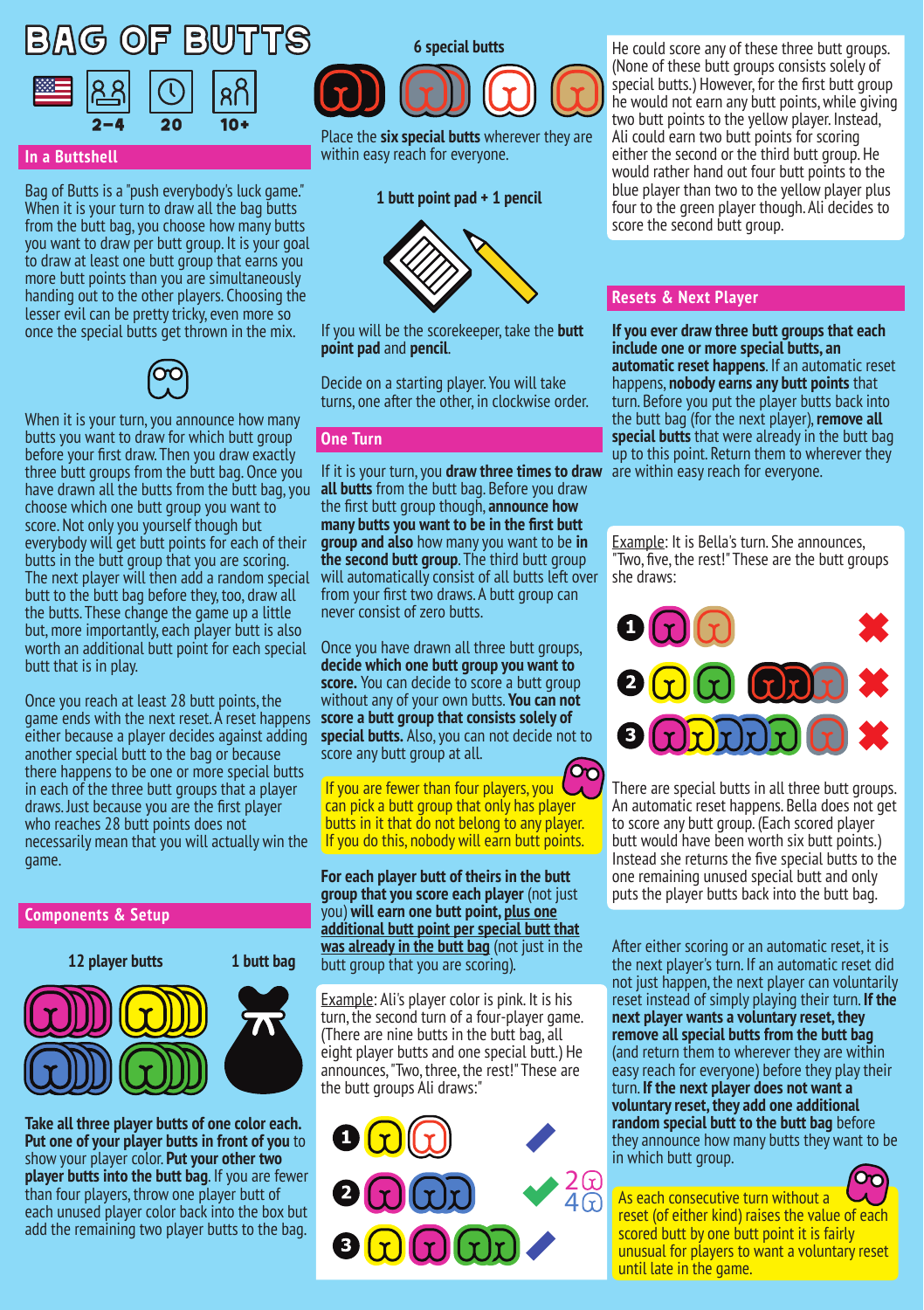# BAG OF BUTTS



# **In a Buttshell**

Bag of Butts is a "push everybody's luck game." When it is your turn to draw all the bag butts from the butt bag, you choose how many butts you want to draw per butt group. It is your goal to draw at least one butt group that earns you more butt points than you are simultaneously handing out to the other players. Choosing the lesser evil can be pretty tricky, even more so once the special butts get thrown in the mix.



When it is your turn, you announce how many butts you want to draw for which butt group before your first draw. Then you draw exactly three butt groups from the butt bag. Once you have drawn all the butts from the butt bag, you choose which one butt group you want to score. Not only you yourself though but everybody will get butt points for each of their butts in the butt group that you are scoring. The next player will then add a random special butt to the butt bag before they, too, draw all the butts. These change the game up a little but, more importantly, each player butt is also worth an additional butt point for each special butt that is in play.

Once you reach at least 28 butt points, the game ends with the next reset. A reset happens either because a player decides against adding another special butt to the bag or because there happens to be one or more special butts in each of the three butt groups that a player draws. Just because you are the first player who reaches 28 butt points does not necessarily mean that you will actually win the game.

## **Components & Setup**



**Take all three player butts of one color each. Put one of your player butts in front of you** to show your player color. **Put your other two player butts into the butt bag**. If you are fewer than four players, throw one player butt of each unused player color back into the box but add the remaining two player butts to the bag.



Place the **six special butts** wherever they are within easy reach for everyone.

#### **1 butt point pad + 1 pencil**



If you will be the scorekeeper, take the **butt point pad** and **pencil**.

Decide on a starting player. You will take turns, one after the other, in clockwise order.

## **One Turn**

If it is your turn, you **draw three times to draw all butts** from the butt bag. Before you draw the first butt group though, **announce how many butts you want to be in the first butt group and also** how many you want to be **in the second butt group**. The third butt group will automatically consist of all butts left over from your first two draws. A butt group can never consist of zero butts.

Once you have drawn all three butt groups, **decide which one butt group you want to score.** You can decide to score a butt group without any of your own butts. **You can not score a butt group that consists solely of special butts.** Also, you can not decide not to score any butt group at all.

൚ If you are fewer than four players, you can pick a butt group that only has player butts in it that do not belong to any player. If you do this, nobody will earn butt points.

**For each player butt of theirs in the butt group that you score each player** (not just you) **will earn one butt point, plus one additional butt point per special butt that was already in the butt bag** (not just in the butt group that you are scoring).

Example: Ali's player color is pink. It is his turn, the second turn of a four-player game. (There are nine butts in the butt bag, all eight player butts and one special butt.) He announces, "Two, three, the rest!" These are the butt groups Ali draws:"



He could score any of these three butt groups. (None of these butt groups consists solely of special butts.) However, for the first butt group he would not earn any butt points, while giving two butt points to the yellow player. Instead, Ali could earn two butt points for scoring either the second or the third butt group. He would rather hand out four butt points to the blue player than two to the yellow player plus four to the green player though. Ali decides to score the second butt group.

# **Resets & Next Player**

**If you ever draw three butt groups that each include one or more special butts, an automatic reset happens**. If an automatic reset happens, **nobody earns any butt points** that turn. Before you put the player butts back into the butt bag (for the next player), **remove all special butts** that were already in the butt bag up to this point. Return them to wherever they are within easy reach for everyone.

Example: It is Bella's turn. She announces, Two, five, the rest!" These are the butt groups she draws:



There are special butts in all three butt groups. An automatic reset happens. Bella does not get to score any butt group. (Each scored player butt would have been worth six butt points.) Instead she returns the five special butts to the one remaining unused special butt and only puts the player butts back into the butt bag.

After either scoring or an automatic reset, it is the next player's turn. If an automatic reset did not just happen, the next player can voluntarily reset instead of simply playing their turn. **If the next player wants a voluntary reset, they remove all special butts from the butt bag** (and return them to wherever they are within easy reach for everyone) before they play their turn. **If the next player does not want a voluntary reset, they add one additional random special butt to the butt bag** before they announce how many butts they want to be in which butt group.



As each consecutive turn without a reset (of either kind) raises the value of each scored butt by one butt point it is fairly unusual for players to want a voluntary reset until late in the game.